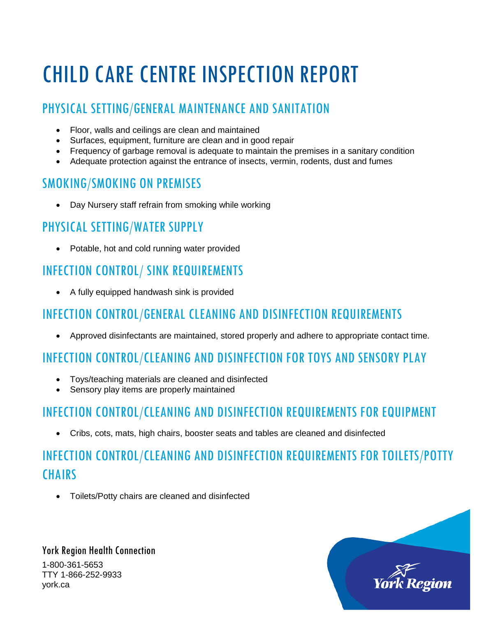# CHILD CARE CENTRE INSPECTION REPORT

# PHYSICAL SETTING/GENERAL MAINTENANCE AND SANITATION

- Floor, walls and ceilings are clean and maintained
- Surfaces, equipment, furniture are clean and in good repair
- Frequency of garbage removal is adequate to maintain the premises in a sanitary condition
- Adequate protection against the entrance of insects, vermin, rodents, dust and fumes

### SMOKING/SMOKING ON PREMISES

• Day Nursery staff refrain from smoking while working

### PHYSICAL SETTING/WATER SUPPLY

• Potable, hot and cold running water provided

### INFECTION CONTROL/ SINK REQUIREMENTS

• A fully equipped handwash sink is provided

### INFECTION CONTROL/GENERAL CLEANING AND DISINFECTION REQUIREMENTS

• Approved disinfectants are maintained, stored properly and adhere to appropriate contact time.

# INFECTION CONTROL/CLEANING AND DISINFECTION FOR TOYS AND SENSORY PLAY

- Toys/teaching materials are cleaned and disinfected
- Sensory play items are properly maintained

### INFECTION CONTROL/CLEANING AND DISINFECTION REQUIREMENTS FOR EQUIPMENT

• Cribs, cots, mats, high chairs, booster seats and tables are cleaned and disinfected

# INFECTION CONTROL/CLEANING AND DISINFECTION REQUIREMENTS FOR TOILETS/POTTY **CHAIRS**

• Toilets/Potty chairs are cleaned and disinfected

#### York Region Health Connection 1-800-361-5653 TTY 1-866-252-9933 york.ca